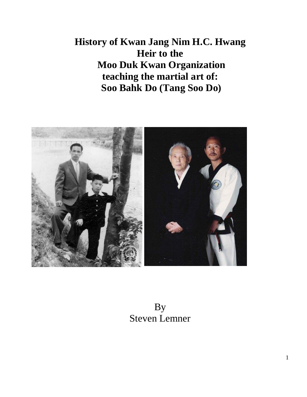**History of Kwan Jang Nim H.C. Hwang Heir to the Moo Duk Kwan Organization teaching the martial art of: Soo Bahk Do (Tang Soo Do)**



### By Steven Lemner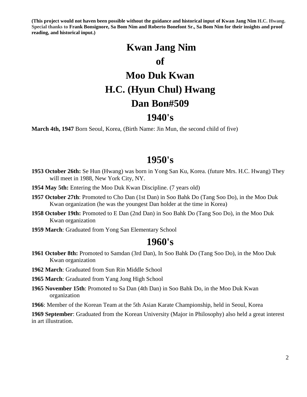**(This project would not haven been possible without the guidance and historical input of Kwan Jang Nim H.C. Hwang. Special thanks to Frank Bonsignore, Sa Bom Nim and Roberto Bonefont Sr., Sa Bom Nim for their insights and proof reading, and historical input.)**

# **Kwan Jang Nim of Moo Duk Kwan H.C. (Hyun Chul) Hwang Dan Bon#509**

### **1940's**

**March 4th, 1947** Born Seoul, Korea, (Birth Name: Jin Mun, the second child of five)

#### **1950's**

- **1953 October 26th:** Se Hun (Hwang) was born in Yong San Ku, Korea. (future Mrs. H.C. Hwang) They will meet in 1988, New York City, NY.
- **1954 May 5th:** Entering the Moo Duk Kwan Discipline. (7 years old)
- **1957 October 27th**: Promoted to Cho Dan (1st Dan) in Soo Bahk Do (Tang Soo Do), in the Moo Duk Kwan organization (he was the youngest Dan holder at the time in Korea)
- **1958 October 19th:** Promoted to E Dan (2nd Dan) in Soo Bahk Do (Tang Soo Do), in the Moo Duk Kwan organization
- **1959 March**: Graduated from Yong San Elementary School

#### **1960's**

- **1961 October 8th:** Promoted to Samdan (3rd Dan), In Soo Bahk Do (Tang Soo Do), in the Moo Duk Kwan organization
- **1962 March**: Graduated from Sun Rin Middle School

**1965 March**: Graduated from Yang Jong High School

- **1965 November 15th**: Promoted to Sa Dan (4th Dan) in Soo Bahk Do, in the Moo Duk Kwan organization
- **1966**: Member of the Korean Team at the 5th Asian Karate Championship, held in Seoul, Korea

**1969 September**: Graduated from the Korean University (Major in Philosophy) also held a great interest in art illustration.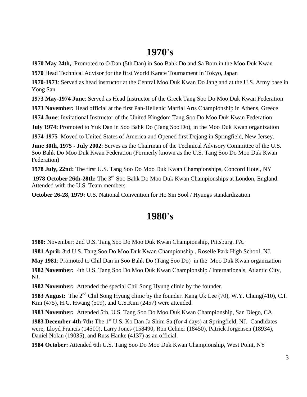### **1970's**

**1970 May 24th,**: Promoted to O Dan (5th Dan) in Soo Bahk Do and Sa Bom in the Moo Duk Kwan

**1970** Head Technical Advisor for the first World Karate Tournament in Tokyo, Japan

**1970-1973**: Served as head instructor at the Central Moo Duk Kwan Do Jang and at the U.S. Army base in Yong San

**1973 May-1974 June**: Served as Head Instructor of the Greek Tang Soo Do Moo Duk Kwan Federation

**1973 November:** Head official at the first Pan-Hellenic Martial Arts Championship in Athens, Greece

**1974 June**: Invitational Instructor of the United Kingdom Tang Soo Do Moo Duk Kwan Federation

**July 1974:** Promoted to Yuk Dan in Soo Bahk Do (Tang Soo Do), in the Moo Duk Kwan organization

**1974-1975** Moved to United States of America and Opened first Dojang in Springfield, New Jersey.

**June 30th, 1975 - July 2002**: Serves as the Chairman of the Technical Advisory Committee of the U.S. Soo Bahk Do Moo Duk Kwan Federation (Formerly known as the U.S. Tang Soo Do Moo Duk Kwan Federation)

**1978 July, 22nd:** The first U.S. Tang Soo Do Moo Duk Kwan Championships, Concord Hotel, NY

**1978 October 26th-28th:** The 3rd Soo Bahk Do Moo Duk Kwan Championships at London, England. Attended with the U.S. Team members

**October 26-28, 1979:** U.S. National Convention for Ho Sin Sool / Hyungs standardization

### **1980's**

**1980:** November: 2nd U.S. Tang Soo Do Moo Duk Kwan Championship, Pittsburg, PA.

**1981 April:** 3rd U.S. Tang Soo Do Moo Duk Kwan Championship , Roselle Park High School, NJ.

**May 1981**: Promoted to Chil Dan in Soo Bahk Do (Tang Soo Do) in the Moo Duk Kwan organization

**1982 November:** 4th U.S. Tang Soo Do Moo Duk Kwan Championship / Internationals, Atlantic City, NJ.

**1982 November:** Attended the special Chil Song Hyung clinic by the founder.

**1983 August:** The 2<sup>nd</sup> Chil Song Hyung clinic by the founder. Kang Uk Lee (70), W.Y. Chung(410), C.I. Kim (475), H.C. Hwang (509), and C.S.Kim (2457) were attended.

**1983 November:** Attended 5th, U.S. Tang Soo Do Moo Duk Kwan Championship, San Diego, CA.

1983 December 4th-7th: The 1<sup>st</sup> U.S. Ko Dan Ja Shim Sa (for 4 days) at Springfield, NJ. Candidates were; Lloyd Francis (14500), Larry Jones (158490, Ron Cehner (18450), Patrick Jorgensen (18934), Daniel Nolan (19035), and Russ Hanke (4137) as an official.

**1984 October:** Attended 6th U.S. Tang Soo Do Moo Duk Kwan Championship, West Point, NY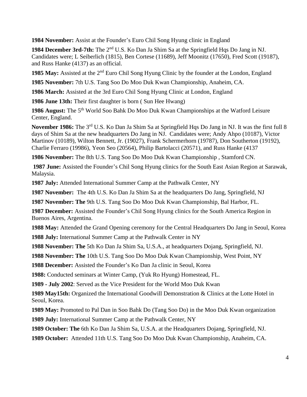**November:** Assist at the Founder's Euro Chil Song Hyung clinic in England

 **December 3rd-7th:** The 2nd U.S. Ko Dan Ja Shim Sa at the Springfield Hqs Do Jang in NJ. Candidates were; L Seiberlich (1815), Ben Cortese (11689), Jeff Moonitz (17650), Fred Scott (19187), and Russ Hanke (4137) as an official.

**May:** Assisted at the 2nd Euro Chil Song Hyung Clinic by the founder at the London, England

**November:** 7th U.S. Tang Soo Do Moo Duk Kwan Championship, Anaheim, CA.

**March:** Assisted at the 3rd Euro Chil Song Hyung Clinic at London, England

**1986 June 13th:** Their first daughter is born ( Sun Hee Hwang)

 **August:** The 5th World Soo Bahk Do Moo Duk Kwan Championships at the Watford Leisure Center, England.

November 1986: The 3<sup>rd</sup> U.S. Ko Dan Ja Shim Sa at Springfield Hqs Do Jang in NJ. It was the first full 8 days of Shim Sa at the new headquarters Do Jang in NJ. Candidates were; Andy Ahpo (10187), Victor Martinov (10189), Wilton Bennett, Jr. (19027), Frank Schermerhorn (19787), Don Southerton (19192), Charlie Ferraro (19986), Yeon Seo (20564), Philip Bartolacci (20571), and Russ Hanke (4137

**November:** The 8th U.S. Tang Soo Do Moo Duk Kwan Championship , Stamford CN.

 **June:** Assisted the Founder's Chil Song Hyung clinics for the South East Asian Region at Sarawak, Malaysia.

**July:** Attended International Summer Camp at the Pathwalk Center, NY

**November:** The 4th U.S. Ko Dan Ja Shim Sa at the headquarters Do Jang, Springfield, NJ

**November: The** 9th U.S. Tang Soo Do Moo Duk Kwan Championship, Bal Harbor, FL.

 **December:** Assisted the Founder's Chil Song Hyung clinics for the South America Region in Buenos Aires, Argentina.

 **May:** Attended the Grand Opening ceremony for the Central Headquarters Do Jang in Seoul, Korea **July:** International Summer Camp at the Pathwalk Center in NY

**November: The** 5th Ko Dan Ja Shim Sa, U.S.A., at headquarters Dojang, Springfield, NJ.

**November: The** 10th U.S. Tang Soo Do Moo Duk Kwan Championship, West Point, NY

**December:** Assisted the Founder's Ko Dan Ja clinic in Seoul, Korea

**1988:** Conducted seminars at Winter Camp, (Yuk Ro Hyung) Homestead, FL.

**1989 - July 2002**: Served as the Vice President for the World Moo Duk Kwan

 **May15th:** Organized the International Goodwill Demonstration & Clinics at the Lotte Hotel in Seoul, Korea.

**May:** Promoted to Pal Dan in Soo Bahk Do (Tang Soo Do) in the Moo Duk Kwan organization

**July:** International Summer Camp at the Pathwalk Center, NY

**October: The** 6th Ko Dan Ja Shim Sa, U.S.A. at the Headquarters Dojang, Springfield, NJ.

**October:** Attended 11th U.S. Tang Soo Do Moo Duk Kwan Championship, Anaheim, CA.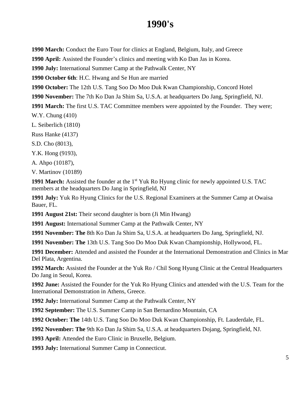### **1990's**

**1990 March:** Conduct the Euro Tour for clinics at England, Belgium, Italy, and Greece

**1990 April:** Assisted the Founder's clinics and meeting with Ko Dan Jas in Korea.

**1990 July:** International Summer Camp at the Pathwalk Center, NY

**1990 October 6th**: H.C. Hwang and Se Hun are married

**1990 October:** The 12th U.S. Tang Soo Do Moo Duk Kwan Championship, Concord Hotel

**1990 November:** The 7th Ko Dan Ja Shim Sa, U.S.A. at headquarters Do Jang, Springfield, NJ.

**1991 March:** The first U.S. TAC Committee members were appointed by the Founder. They were; W.Y. Chung (410)

L. Seiberlich (1810)

Russ Hanke (4137)

S.D. Cho (8013),

Y.K. Hong (9193),

A. Ahpo (10187),

V. Martinov (10189)

1991 March: Assisted the founder at the 1<sup>st</sup> Yuk Ro Hyung clinic for newly appointed U.S. TAC members at the headquarters Do Jang in Springfield, NJ

**1991 July:** Yuk Ro Hyung Clinics for the U.S. Regional Examiners at the Summer Camp at Owaisa Bauer, FL.

**1991 August 21st:** Their second daughter is born (Ji Min Hwang)

**1991 August:** International Summer Camp at the Pathwalk Center, NY

**1991 November: The** 8th Ko Dan Ja Shim Sa, U.S.A. at headquarters Do Jang, Springfield, NJ.

**1991 November: The** 13th U.S. Tang Soo Do Moo Duk Kwan Championship, Hollywood, FL.

**1991 December:** Attended and assisted the Founder at the International Demonstration and Clinics in Mar Del Plata, Argentina.

**1992 March:** Assisted the Founder at the Yuk Ro / Chil Song Hyung Clinic at the Central Headquarters Do Jang in Seoul, Korea.

**1992 June:** Assisted the Founder for the Yuk Ro Hyung Clinics and attended with the U.S. Team for the International Demonstration in Athens, Greece.

**1992 July:** International Summer Camp at the Pathwalk Center, NY

**1992 September:** The U.S. Summer Camp in San Bernardino Mountain, CA

**1992 October: The** 14th U.S. Tang Soo Do Moo Duk Kwan Championship, Ft. Lauderdale, FL.

**1992 November: The** 9th Ko Dan Ja Shim Sa, U.S.A. at headquarters Dojang, Springfield, NJ.

**1993 April:** Attended the Euro Clinic in Bruxelle, Belgium.

**1993 July:** International Summer Camp in Connecticut.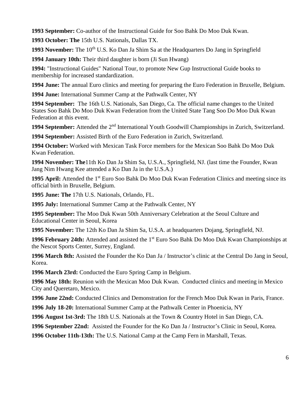**1993 September:** Co-author of the Instructional Guide for Soo Bahk Do Moo Duk Kwan.

**1993 October: The** 15th U.S. Nationals, Dallas TX.

1993 November: The 10<sup>th</sup> U.S. Ko Dan Ja Shim Sa at the Headquarters Do Jang in Springfield

**1994 January 10th:** Their third daughter is born (Ji Sun Hwang)

**1994:** "Instructional Guides" National Tour, to promote New Gup Instructional Guide books to membership for increased standardization.

**1994 June:** The annual Euro clinics and meeting for preparing the Euro Federation in Bruxelle, Belgium.

**1994 June:** International Summer Camp at the Pathwalk Center, NY

**1994 September:** The 16th U.S. Nationals, San Diego, Ca. The official name changes to the United States Soo Bahk Do Moo Duk Kwan Federation from the United State Tang Soo Do Moo Duk Kwan Federation at this event.

**1994 September:** Attended the 2nd International Youth Goodwill Championships in Zurich, Switzerland.

**1994 September:** Assisted Birth of the Euro Federation in Zurich, Switzerland.

**1994 October:** Worked with Mexican Task Force members for the Mexican Soo Bahk Do Moo Duk Kwan Federation.

**1994 November: The**11th Ko Dan Ja Shim Sa, U.S.A., Springfield, NJ. (last time the Founder, Kwan Jang Nim Hwang Kee attended a Ko Dan Ja in the U.S.A.)

**1995 April:** Attended the 1<sup>st</sup> Euro Soo Bahk Do Moo Duk Kwan Federation Clinics and meeting since its official birth in Bruxelle, Belgium.

**1995 June: The** 17th U.S. Nationals, Orlando, FL.

**1995 July:** International Summer Camp at the Pathwalk Center, NY

**1995 September:** The Moo Duk Kwan 50th Anniversary Celebration at the Seoul Culture and Educational Center in Seoul, Korea

**1995 November:** The 12th Ko Dan Ja Shim Sa, U.S.A. at headquarters Dojang, Springfield, NJ.

**1996 February 24th:** Attended and assisted the 1<sup>st</sup> Euro Soo Bahk Do Moo Duk Kwan Championships at the Nescot Sports Center, Surrey, England.

**1996 March 8th:** Assisted the Founder the Ko Dan Ja / Instructor's clinic at the Central Do Jang in Seoul, Korea.

**1996 March 23rd:** Conducted the Euro Spring Camp in Belgium.

**1996 May 18th:** Reunion with the Mexican Moo Duk Kwan. Conducted clinics and meeting in Mexico City and Queretaro, Mexico.

**1996 June 22nd:** Conducted Clinics and Demonstration for the French Moo Duk Kwan in Paris, France.

**1996 July 18-20:** International Summer Camp at the Pathwalk Center in Phoenicia, NY

**1996 August 1st-3rd:** The 18th U.S. Nationals at the Town & Country Hotel in San Diego, CA.

**1996 September 22nd:** Assisted the Founder for the Ko Dan Ja / Instructor's Clinic in Seoul, Korea.

**1996 October 11th-13th:** The U.S. National Camp at the Camp Fern in Marshall, Texas.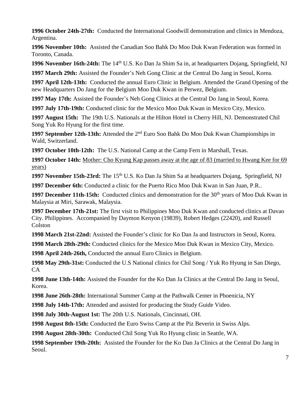**1996 October 24th-27th:** Conducted the International Goodwill demonstration and clinics in Mendoza, Argentina.

**1996 November 10th:** Assisted the Canadian Soo Bahk Do Moo Duk Kwan Federation was formed in Toronto, Canada.

**1996 November 16th-24th:** The 14th U.S. Ko Dan Ja Shim Sa in, at headquarters Dojang, Springfield, NJ

**1997 March 29th:** Assisted the Founder's Neh Gong Clinic at the Central Do Jang in Seoul, Korea.

**1997 April 12th-13th:** Conducted the annual Euro Clinic in Belgium. Attended the Grand Opening of the new Headquarters Do Jang for the Belgium Moo Duk Kwan in Perwez, Belgium.

**1997 May 17th:** Assisted the Founder's Neh Gong Clinics at the Central Do Jang in Seoul, Korea.

**1997 July 17th-19th:** Conducted clinic for the Mexico Moo Duk Kwan in Mexico City, Mexico.

**1997 August 15th:** The 19th U.S. Nationals at the Hilton Hotel in Cherry Hill, NJ. Demonstrated Chil Song Yuk Ro Hyung for the first time.

1997 September 12th-13th: Attended the 2<sup>nd</sup> Euro Soo Bahk Do Moo Duk Kwan Championships in Wald, Switzerland.

**1997 October 10th-12th:** The U.S. National Camp at the Camp Fern in Marshall, Texas.

**1997 October 14th:** Mother: Cho Kyung Kap passes away at the age of 83 (married to Hwang Kee for 69 years)

1997 November 15th-23rd: The 15<sup>th</sup> U.S. Ko Dan Ja Shim Sa at headquarters Dojang, Springfield, NJ

**1997 December 6th:** Conducted a clinic for the Puerto Rico Moo Duk Kwan in San Juan, P.R..

**1997 December 11th-15th:** Conducted clinics and demonstration for the 30<sup>th</sup> years of Moo Duk Kwan in Malaysia at Miri, Sarawak, Malaysia.

**1997 December 17th-21st:** The first visit to Philippines Moo Duk Kwan and conducted clinics at Davao City. Philippines. Accompanied by Daymon Kenyon (19839), Robert Hedges (22420), and Russell Colston

**1998 March 21st-22nd:** Assisted the Founder's clinic for Ko Dan Ja and Instructors in Seoul, Korea.

**1998 March 28th-29th:** Conducted clinics for the Mexico Moo Duk Kwan in Mexico City, Mexico.

**1998 April 24th-26th,** Conducted the annual Euro Clinics in Belgium.

**1998 May 29th-31st:** Conducted the U.S National clinics for Chil Song / Yuk Ro Hyung in San Diego, CA

**1998 June 13th-14th:** Assisted the Founder for the Ko Dan Ja Clinics at the Central Do Jang in Seoul, Korea.

**1998 June 26th-28th:** International Summer Camp at the Pathwalk Center in Phoenicia, NY

**1998 July 14th-17th:** Attended and assisted for producing the Study Guide Video.

**1998 July 30th-August 1st:** The 20th U.S. Nationals, Cincinnati, OH.

**1998 August 8th-15th:** Conducted the Euro Swiss Camp at the Piz Beverin in Swiss Alps.

**1998 August 28th-30th:** Conducted Chil Song Yuk Ro Hyung clinic in Seattle, WA.

**1998 September 19th-20th:** Assisted the Founder for the Ko Dan Ja Clinics at the Central Do Jang in Seoul.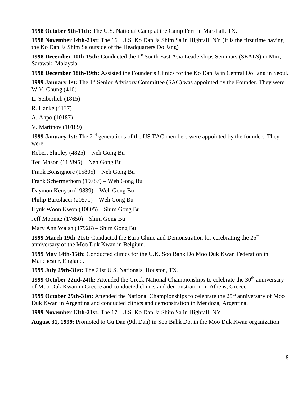**1998 October 9th-11th:** The U.S. National Camp at the Camp Fern in Marshall, TX.

**1998** November 14th-21st: The 16<sup>th</sup> U.S. Ko Dan Ja Shim Sa in Highfall, NY (It is the first time having the Ko Dan Ja Shim Sa outside of the Headquarters Do Jang)

1998 December 10th-15th: Conducted the 1<sup>st</sup> South East Asia Leaderships Seminars (SEALS) in Miri, Sarawak, Malaysia.

**1998 December 18th-19th:** Assisted the Founder's Clinics for the Ko Dan Ja in Central Do Jang in Seoul.

1999 January 1st: The 1<sup>st</sup> Senior Advisory Committee (SAC) was appointed by the Founder. They were W.Y. Chung (410)

L. Seiberlich (1815)

R. Hanke (4137)

A. Ahpo (10187)

V. Martinov (10189)

**1999 January 1st:** The 2<sup>nd</sup> generations of the US TAC members were appointed by the founder. They were:

Robert Shipley (4825) – Neh Gong Bu

```
Ted Mason (112895) – Neh Gong Bu
```
Frank Bonsignore (15805) – Neh Gong Bu

Frank Schermerhorn (19787) – Weh Gong Bu

Daymon Kenyon (19839) – Weh Gong Bu

Philip Bartolacci (20571) – Weh Gong Bu

Hyuk Woon Kwon (10805) – Shim Gong Bu

Jeff Moonitz (17650) – Shim Gong Bu

Mary Ann Walsh (17926) – Shim Gong Bu

**1999 March 19th-21st:** Conducted the Euro Clinic and Demonstration for cerebrating the 25<sup>th</sup> anniversary of the Moo Duk Kwan in Belgium.

**1999 May 14th-15th:** Conducted clinics for the U.K. Soo Bahk Do Moo Duk Kwan Federation in Manchester, England.

**1999 July 29th-31st:** The 21st U.S. Nationals, Houston, TX.

1999 **October 22nd-24th:** Attended the Greek National Championships to celebrate the 30<sup>th</sup> anniversary of Moo Duk Kwan in Greece and conducted clinics and demonstration in Athens, Greece.

**1999 October 29th-31st:** Attended the National Championships to celebrate the 25<sup>th</sup> anniversary of Moo Duk Kwan in Argentina and conducted clinics and demonstration in Mendoza, Argentina.

**1999 November 13th-21st:** The 17<sup>th</sup> U.S. Ko Dan Ja Shim Sa in Highfall. NY

**August 31, 1999**: Promoted to Gu Dan (9th Dan) in Soo Bahk Do, in the Moo Duk Kwan organization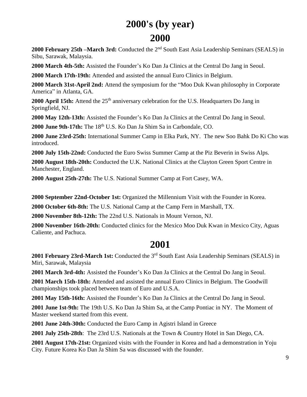### **2000's (by year) 2000**

**2000 February 25th –March 3rd:** Conducted the 2nd South East Asia Leadership Seminars (SEALS) in Sibu, Sarawak, Malaysia.

**2000 March 4th-5th:** Assisted the Founder's Ko Dan Ja Clinics at the Central Do Jang in Seoul.

**2000 March 17th-19th:** Attended and assisted the annual Euro Clinics in Belgium.

**2000 March 31st-April 2nd:** Attend the symposium for the "Moo Duk Kwan philosophy in Corporate America" in Atlanta, GA.

2000 April 15th: Attend the 25<sup>th</sup> anniversary celebration for the U.S. Headquarters Do Jang in Springfield, NJ.

**2000 May 12th-13th:** Assisted the Founder's Ko Dan Ja Clinics at the Central Do Jang in Seoul.

**2000 June 9th-17th:** The 18th U.S. Ko Dan Ja Shim Sa in Carbondale, CO.

**2000 June 23rd-25th:** International Summer Camp in Elka Park, NY. The new Soo Bahk Do Ki Cho was introduced.

**2000 July 15th-22nd:** Conducted the Euro Swiss Summer Camp at the Piz Beverin in Swiss Alps.

**2000 August 18th-20th:** Conducted the U.K. National Clinics at the Clayton Green Sport Centre in Manchester, England.

**2000 August 25th-27th:** The U.S. National Summer Camp at Fort Casey, WA.

**2000 September 22nd-October 1st:** Organized the Millennium Visit with the Founder in Korea.

**2000 October 6th-8th:** The U.S. National Camp at the Camp Fern in Marshall, TX.

**2000 November 8th-12th:** The 22nd U.S. Nationals in Mount Vernon, NJ.

**2000 November 16th-20th:** Conducted clinics for the Mexico Moo Duk Kwan in Mexico City, Aguas Caliente, and Pachuca.

### **2001**

**2001 February 23rd-March 1st:** Conducted the 3rd South East Asia Leadership Seminars (SEALS) in Miri, Sarawak, Malaysia

**2001 March 3rd-4th:** Assisted the Founder's Ko Dan Ja Clinics at the Central Do Jang in Seoul.

**2001 March 15th-18th:** Attended and assisted the annual Euro Clinics in Belgium. The Goodwill championships took placed between team of Euro and U.S.A.

**2001 May 15th-16th:** Assisted the Founder's Ko Dan Ja Clinics at the Central Do Jang in Seoul.

**2001 June 1st-9th:** The 19th U.S. Ko Dan Ja Shim Sa, at the Camp Pontiac in NY. The Moment of Master weekend started from this event.

**2001 June 24th-30th:** Conducted the Euro Camp in Agistri Island in Greece

**2001 July 25th-28th**: The 23rd U.S. Nationals at the Town & Country Hotel in San Diego, CA.

**2001 August 17th-21st:** Organized visits with the Founder in Korea and had a demonstration in Yoju City. Future Korea Ko Dan Ja Shim Sa was discussed with the founder.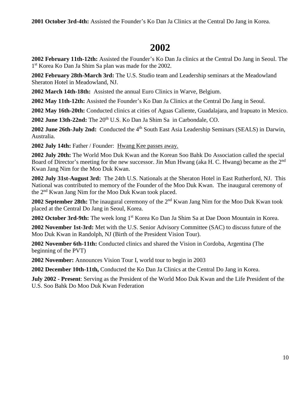**2001 October 3rd-4th:** Assisted the Founder's Ko Dan Ja Clinics at the Central Do Jang in Korea.

### **2002**

**2002 February 11th-12th:** Assisted the Founder's Ko Dan Ja clinics at the Central Do Jang in Seoul. The 1 st Korea Ko Dan Ja Shim Sa plan was made for the 2002.

**2002 February 28th-March 3rd:** The U.S. Studio team and Leadership seminars at the Meadowland Sheraton Hotel in Meadowland, NJ.

**2002 March 14th-18th:** Assisted the annual Euro Clinics in Warve, Belgium.

**2002 May 11th-12th:** Assisted the Founder's Ko Dan Ja Clinics at the Central Do Jang in Seoul.

**2002 May 16th-20th:** Conducted clinics at cities of Aguas Caliente, Guadalajara, and Irapuato in Mexico.

2002 **June 13th-22nd:** The 20<sup>th</sup> U.S. Ko Dan Ja Shim Sa in Carbondale, CO.

2002 **June 26th-July 2nd:** Conducted the 4<sup>th</sup> South East Asia Leadership Seminars (SEALS) in Darwin, Australia.

**2002 July 14th:** Father / Founder: Hwang Kee passes away.

**2002 July 20th:** The World Moo Duk Kwan and the Korean Soo Bahk Do Association called the special Board of Director's meeting for the new successor. Jin Mun Hwang (aka H. C. Hwang) became as the 2<sup>nd</sup> Kwan Jang Nim for the Moo Duk Kwan.

**2002 July 31st-August 3rd:** The 24th U.S. Nationals at the Sheraton Hotel in East Rutherford, NJ. This National was contributed to memory of the Founder of the Moo Duk Kwan. The inaugural ceremony of the 2nd Kwan Jang Nim for the Moo Duk Kwan took placed.

**2002 September 28th:** The inaugural ceremony of the 2nd Kwan Jang Nim for the Moo Duk Kwan took placed at the Central Do Jang in Seoul, Korea.

2002 **October 3rd-9th:** The week long 1<sup>st</sup> Korea Ko Dan Ja Shim Sa at Dae Doon Mountain in Korea.

**2002 November 1st-3rd:** Met with the U.S. Senior Advisory Committee (SAC) to discuss future of the Moo Duk Kwan in Randolph, NJ (Birth of the President Vision Tour).

**2002 November 6th-11th:** Conducted clinics and shared the Vision in Cordoba, Argentina (The beginning of the PVT)

**2002 November:** Announces Vision Tour I, world tour to begin in 2003

**2002 December 10th-11th,** Conducted the Ko Dan Ja Clinics at the Central Do Jang in Korea.

**July 2002 - Present**: Serving as the President of the World Moo Duk Kwan and the Life President of the U.S. Soo Bahk Do Moo Duk Kwan Federation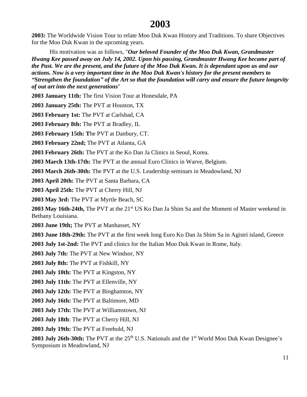#### **2003**

**2003:** The Worldwide Vision Tour to relate Moo Duk Kwan History and Traditions. To share Objectives for the Moo Duk Kwan in the upcoming years.

His motivation was as follows, "*Our beloved Founder of the Moo Duk Kwan, Grandmaster Hwang Kee passed away on July 14, 2002. Upon his passing, Grandmaster Hwang Kee became part of the Past. We are the present, and the future of the Moo Duk Kwan. It is dependant upon us and our actions. Now is a very important time in the Moo Duk Kwan's history for the present members to "Strengthen the foundation" of the Art so that the foundation will carry and ensure the future longevity of out art into the next generations*"

**2003 January 11th:** The first Vision Tour at Honesdale, PA

**2003 January 25th:** The PVT at Houston, TX

**2003 February 1st:** The PVT at Carlsbad, CA

**2003 February 8th:** The PVT at Bradley, IL

**2003 February 15th: T**he PVT at Danbury, CT.

**2003 February 22nd;** The PVT at Atlanta, GA

**2003 February 26th:** The PVT at the Ko Dan Ja Clinics in Seoul, Korea.

**2003 March 13th-17th:** The PVT at the annual Euro Clinics in Warve, Belgium.

**2003 March 26th-30th:** The PVT at the U.S. Leadership seminars in Meadowland, NJ

**2003 April 20th:** The PVT at Santa Barbara, CA

**2003 April 25th:** The PVT at Cherry Hill, NJ

**2003 May 3rd:** The PVT at Myrtle Beach, SC

2003 May 16th-24th, The PVT at the 21<sup>st</sup> US Ko Dan Ja Shim Sa and the Moment of Master weekend in Bethany Louisiana.

**2003 June 19th;** The PVT at Manhasset, NY

**2003 June 18th-29th:** The PVT at the first week long Euro Ko Dan Ja Shim Sa in Agistri island, Greece

**2003 July 1st-2nd:** The PVT and clinics for the Italian Moo Duk Kwan in Rome, Italy.

**2003 July 7th:** The PVT at New Windsor, NY

**2003 July 8th:** The PVT at Fishkill, NY

**2003 July 10th:** The PVT at Kingston, NY

**2003 July 11th:** The PVT at Ellenville, NY

**2003 July 12th:** The PVT at Binghamton, NY

**2003 July 16th:** The PVT at Baltimore, MD

**2003 July 17th:** The PVT at Williamstown, NJ

**2003 July 18th**: The PVT at Cherry Hill, NJ

**2003 July 19th:** The PVT at Freehold, NJ

**2003 July 26th-30th:** The PVT at the 25<sup>th</sup> U.S. Nationals and the 1<sup>st</sup> World Moo Duk Kwan Designee's Symposium in Meadowland, NJ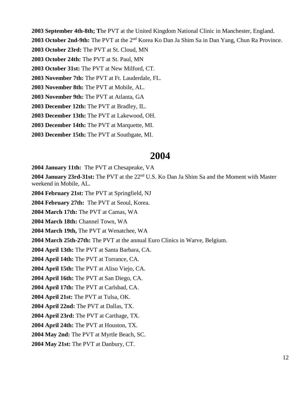**2003 September 4th-8th; T**he PVT at the United Kingdom National Clinic in Manchester, England.

**2003 October 2nd-9th:** The PVT at the 2nd Korea Ko Dan Ja Shim Sa in Dan Yang, Chun Ra Province.

**2003 October 23rd:** The PVT at St. Cloud, MN

**2003 October 24th:** The PVT at St. Paul, MN

**2003 October 31st:** The PVT at New Milford, CT.

**2003 November 7th:** The PVT at Ft. Lauderdale, FL.

**2003 November 8th:** The PVT at Mobile, AL.

**2003 November 9th:** The PVT at Atlanta, GA

**2003 December 12th:** The PVT at Bradley, IL.

**2003 December 13th:** The PVT at Lakewood, OH.

**2003 December 14th:** The PVT at Marquette, MI.

**2003 December 15th:** The PVT at Southgate, MI.

#### **2004**

**2004 January 11th:** The PVT at Chesapeake, VA

2004 **January 23rd-31st:** The PVT at the 22<sup>nd</sup> U.S. Ko Dan Ja Shim Sa and the Moment with Master weekend in Mobile, AL.

**2004 February 21st:** The PVT at Springfield, NJ

**2004 February 27th:** The PVT at Seoul, Korea.

**2004 March 17th:** The PVT at Camas, WA

**2004 March 18th:** Channel Town, WA

**2004 March 19th,** The PVT at Wenatchee, WA

**2004 March 25th-27th:** The PVT at the annual Euro Clinics in Warve, Belgium.

**2004 April 13th:** The PVT at Santa Barbara, CA.

**2004 April 14th:** The PVT at Torrance, CA.

**2004 April 15th:** The PVT at Aliso Viejo, CA.

**2004 April 16th:** The PVT at San Diego, CA.

**2004 April 17th:** The PVT at Carlsbad, CA.

**2004 April 21st:** The PVT at Tulsa, OK.

**2004 April 22nd:** The PVT at Dallas, TX.

**2004 April 23rd:** The PVT at Carthage, TX.

**2004 April 24th:** The PVT at Houston, TX.

**2004 May 2nd:** The PVT at Myrtle Beach, SC.

**2004 May 21st:** The PVT at Danbury, CT.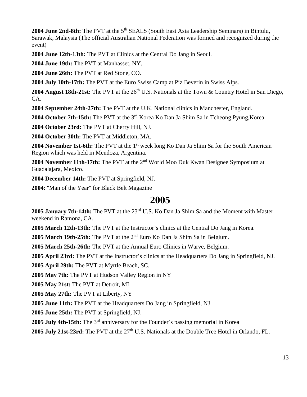2004 June 2nd-8th: The PVT at the 5<sup>th</sup> SEALS (South East Asia Leadership Seminars) in Bintulu, Sarawak, Malaysia (The official Australian National Federation was formed and recognized during the event)

**2004 June 12th-13th:** The PVT at Clinics at the Central Do Jang in Seoul.

**2004 June 19th:** The PVT at Manhasset, NY.

**2004 June 26th:** The PVT at Red Stone, CO.

**2004 July 10th-17th:** The PVT at the Euro Swiss Camp at Piz Beverin in Swiss Alps.

2004 **August 18th-21st:** The PVT at the 26<sup>th</sup> U.S. Nationals at the Town & Country Hotel in San Diego, CA.

**2004 September 24th-27th:** The PVT at the U.K. National clinics in Manchester, England.

**2004 October 7th-15th:** The PVT at the 3rd Korea Ko Dan Ja Shim Sa in Tcheong Pyung,Korea

**2004 October 23rd:** The PVT at Cherry Hill, NJ.

**2004 October 30th:** The PVT at Middleton, MA.

**2004 November 1st-6th:** The PVT at the 1<sup>st</sup> week long Ko Dan Ja Shim Sa for the South American Region which was held in Mendoza, Argentina.

**2004 November 11th-17th:** The PVT at the 2nd World Moo Duk Kwan Designee Symposium at Guadalajara, Mexico.

**2004 December 14th:** The PVT at Springfield, NJ.

**2004**: "Man of the Year" for Black Belt Magazine

#### **2005**

**2005 January 7th-14th:** The PVT at the 23rd U.S. Ko Dan Ja Shim Sa and the Moment with Master weekend in Ramona, CA.

**2005 March 12th-13th:** The PVT at the Instructor's clinics at the Central Do Jang in Korea.

**2005 March 19th-25th:** The PVT at the 2nd Euro Ko Dan Ja Shim Sa in Belgium.

**2005 March 25th-26th:** The PVT at the Annual Euro Clinics in Warve, Belgium.

**2005 April 23rd:** The PVT at the Instructor's clinics at the Headquarters Do Jang in Springfield, NJ.

**2005 April 29th:** The PVT at Myrtle Beach, SC.

**2005 May 7th:** The PVT at Hudson Valley Region in NY

**2005 May 21st:** The PVT at Detroit, MI

**2005 May 27th:** The PVT at Liberty, NY

**2005 June 11th:** The PVT at the Headquarters Do Jang in Springfield, NJ

**2005 June 25th:** The PVT at Springfield, NJ.

**2005 July 4th-15th:** The 3rd anniversary for the Founder's passing memorial in Korea

2005 July 21st-23rd: The PVT at the 27<sup>th</sup> U.S. Nationals at the Double Tree Hotel in Orlando, FL.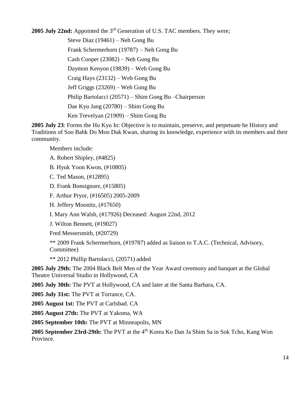**2005 July 22nd:** Appointed the 3rd Generation of U.S. TAC members. They were; Steve Diaz (19461) – Neh Gong Bu Frank Schermerhorn (19787) – Neh Gong Bu Cash Cooper (23082) – Neh Gong Bu Daymon Kenyon (19839) – Weh Gong Bu Craig Hays (23132) – Weh Gong Bu Jeff Griggs (23269) – Weh Gong Bu Philip Bartolacci (20571) – Shim Gong Bu –Chairperson Dae Kyu Jang (20780) – Shim Gong Bu Ken Trevelyan (21909) – Shim Gong Bu

**2005 July 23**: Forms the Hu Kyu In: Objective is to maintain, preserve, and perpetuate he History and Traditions of Soo Bahk Do Moo Duk Kwan, sharing its knowledge, experience with its members and their community.

Members include:

- A. Robert Shipley, (#4825)
- B. Hyuk Yoon Kwon, (#10805)
- C. Ted Mason, (#12895)
- D. Frank Bonsignore, (#15805)
- F. Arthur Pryor, (#16505) 2005-2009
- H. Jeffery Moonitz, (#17650)
- I. Mary Ann Walsh, (#17926) Deceased: August 22nd, 2012
- J. Wilton Bennett, (#19027)
- Fred Messersmith, (#20729)
- \*\* 2009 Frank Schermerhorn, (#19787) added as liaison to T.A.C. (Technical, Advisory, Committee)
- \*\* 2012 Phillip Bartolacci, (20571) added
- **2005 July 29th:** The 2004 Black Belt Men of the Year Award ceremony and banquet at the Global Theatre Universal Studio in Hollywood, CA
- **2005 July 30th:** The PVT at Hollywood, CA and later at the Santa Barbara, CA.
- **2005 July 31st:** The PVT at Torrance, CA.
- **2005 August 1st:** The PVT at Carlsbad. CA
- **2005 August 27th:** The PVT at Yakoma, WA
- **2005 September 10th:** The PVT at Minneapolis, MN
- 2005 **September 23rd-29th:** The PVT at the 4<sup>th</sup> Korea Ko Dan Ja Shim Sa in Sok Tcho, Kang Won Province.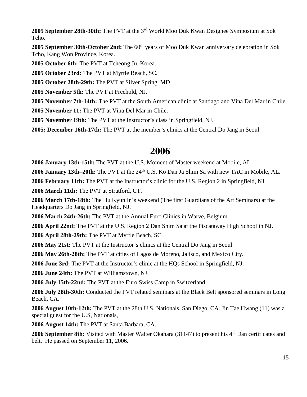**2005 September 28th-30th:** The PVT at the 3rd World Moo Duk Kwan Designee Symposium at Sok Tcho.

**2005** September 30th-October 2nd: The 60<sup>th</sup> years of Moo Duk Kwan anniversary celebration in Sok Tcho, Kang Won Province, Korea.

**2005 October 6th:** The PVT at Tcheong Ju, Korea.

**2005 October 23rd:** The PVT at Myrtle Beach, SC.

**2005 October 28th-29th:** The PVT at Silver Spring, MD

**2005 November 5th:** The PVT at Freehold, NJ.

**2005 November 7th-14th:** The PVT at the South American clinic at Santiago and Vina Del Mar in Chile.

**2005 November 11:** The PVT at Vina Del Mar in Chile.

**2005 November 19th:** The PVT at the Instructor's class in Springfield, NJ.

**2005: December 16th-17th:** The PVT at the member's clinics at the Central Do Jang in Seoul.

### **2006**

**2006 January 13th-15th:** The PVT at the U.S. Moment of Master weekend at Mobile, AL

2006 January 13th–20th: The PVT at the 24<sup>th</sup> U.S. Ko Dan Ja Shim Sa with new TAC in Mobile, AL.

**2006 February 11th:** The PVT at the Instructor's clinic for the U.S. Region 2 in Springfield, NJ.

**2006 March 11th:** The PVT at Stratford, CT.

**2006 March 17th-18th:** The Hu Kyun In's weekend (The first Guardians of the Art Seminars) at the Headquarters Do Jang in Springfield, NJ.

**2006 March 24th-26th:** The PVT at the Annual Euro Clinics in Warve, Belgium.

**2006 April 22nd:** The PVT at the U.S. Region 2 Dan Shim Sa at the Piscataway High School in NJ.

**2006 April 28th-29th:** The PVT at Myrtle Beach, SC.

**2006 May 21st:** The PVT at the Instructor's clinics at the Central Do Jang in Seoul.

**2006 May 26th-28th:** The PVT at cities of Lagos de Moreno, Jalisco, and Mexico City.

**2006 June 3rd:** The PVT at the Instructor's clinic at the HQs School in Springfield, NJ.

**2006 June 24th:** The PVT at Williamstown, NJ.

**2006 July 15th-22nd:** The PVT at the Euro Swiss Camp in Switzerland.

**2006 July 28th-30th:** Conducted the PVT related seminars at the Black Belt sponsored seminars in Long Beach, CA.

**2006 August 10th-12th:** The PVT at the 28th U.S. Nationals, San Diego, CA. Jin Tae Hwang (11) was a special guest for the U.S, Nationals,

**2006 August 14th:** The PVT at Santa Barbara, CA.

**2006** September 8th: Visited with Master Walter Okahara (31147) to present his 4<sup>th</sup> Dan certificates and belt. He passed on September 11, 2006.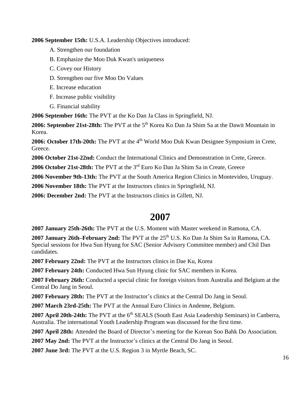**2006 September 15th:** U.S.A. Leadership Objectives introduced:

- A. Strengthen our foundation
- B. Emphasize the Moo Duk Kwan's uniqueness
- C. Covey our History
- D. Strengthen our five Moo Do Values
- E. Increase education
- F. Increase public visibility
- G. Financial stability

**2006 September 16th:** The PVT at the Ko Dan Ja Class in Springfield, NJ.

2006: September 21st-28th: The PVT at the 5<sup>th</sup> Korea Ko Dan Ja Shim Sa at the Dawit Mountain in Korea.

**2006: October 17th-20th:** The PVT at the 4<sup>th</sup> World Moo Duk Kwan Designee Symposium in Crete, Greece.

**2006 October 21st-22nd:** Conduct the International Clinics and Demonstration in Crete, Greece.

**2006 October 21st-28th:** The PVT at the 3rd Euro Ko Dan Ja Shim Sa in Create, Greece

**2006 November 9th-13th:** The PVT at the South America Region Clinics in Montevideo, Uruguay.

**2006 November 18th:** The PVT at the Instructors clinics in Springfield, NJ.

**2006: December 2nd:** The PVT at the Instructors clinics in Gillett, NJ.

### **2007**

**2007 January 25th-26th:** The PVT at the U.S. Moment with Master weekend in Ramona, CA.

2007 January 26th–February 2nd: The PVT at the 25<sup>th</sup> U.S. Ko Dan Ja Shim Sa in Ramona, CA. Special sessions for Hwa Sun Hyung for SAC (Senior Advisory Committee member) and Chil Dan candidates.

**2007 February 22nd:** The PVT at the Instructors clinics in Dae Ku, Korea

**2007 February 24th:** Conducted Hwa Sun Hyung clinic for SAC members in Korea.

**2007 February 26th:** Conducted a special clinic for foreign visitors from Australia and Belgium at the Central Do Jang in Seoul.

**2007 February 28th:** The PVT at the Instructor's clinics at the Central Do Jang in Seoul.

**2007 March 23rd-25th:** The PVT at the Annual Euro Clinics in Andenne, Belgium.

**2007 April 20th-24th:** The PVT at the 6<sup>th</sup> SEALS (South East Asia Leadership Seminars) in Canberra, Australia. The international Youth Leadership Program was discussed for the first time.

**2007 April 28th:** Attended the Board of Director's meeting for the Korean Soo Bahk Do Association.

**2007 May 2nd:** The PVT at the Instructor's clinics at the Central Do Jang in Seoul.

**2007 June 3rd:** The PVT at the U.S. Region 3 in Myrtle Beach, SC.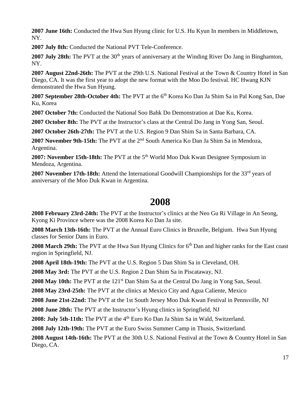**2007 June 16th:** Conducted the Hwa Sun Hyung clinic for U.S. Hu Kyun In members in Middletown, NY.

**2007 July 8th:** Conducted the National PVT Tele-Conference.

**2007 July 28th:** The PVT at the 30<sup>th</sup> years of anniversary at the Winding River Do Jang in Binghamton, NY.

**2007 August 22nd-26th:** The PVT at the 29th U.S. National Festival at the Town & Country Hotel in San Diego, CA. It was the first year to adopt the new format with the Moo Do festival. HC Hwang KJN demonstrated the Hwa Sun Hyung.

**2007 September 28th-October 4th:** The PVT at the 6<sup>th</sup> Korea Ko Dan Ja Shim Sa in Pal Kong San, Dae Ku, Korea

**2007 October 7th:** Conducted the National Soo Bahk Do Demonstration at Dae Ku, Korea.

**2007 October 8th:** The PVT at the Instructor's class at the Central Do Jang in Yong San, Seoul.

**2007 October 26th-27th:** The PVT at the U.S. Region 9 Dan Shim Sa in Santa Barbara, CA.

**2007 November 9th-15th:** The PVT at the 2nd South America Ko Dan Ja Shim Sa in Mendoza, Argentina.

**2007: November 15th-18th:** The PVT at the 5<sup>th</sup> World Moo Duk Kwan Designee Symposium in Mendoza, Argentina.

2007 **November 17th-18th:** Attend the International Goodwill Championships for the 33<sup>rd</sup> years of anniversary of the Moo Duk Kwan in Argentina.

### **2008**

**2008 February 23rd-24th:** The PVT at the Instructor's clinics at the Neo Gu Ri Village in An Seong, Kyong Ki Province where was the 2008 Korea Ko Dan Ja site.

**2008 March 13th-16th:** The PVT at the Annual Euro Clinics in Bruxelle, Belgium. Hwa Sun Hyung classes for Senior Dans in Euro.

**2008 March 29th:** The PVT at the Hwa Sun Hyung Clinics for 6th Dan and higher ranks for the East coast region in Springfield, NJ.

**2008 April 18th-19th:** The PVT at the U.S. Region 5 Dan Shim Sa in Cleveland, OH.

**2008 May 3rd:** The PVT at the U.S. Region 2 Dan Shim Sa in Piscataway, NJ.

2008 May 10th: The PVT at the 121<sup>st</sup> Dan Shim Sa at the Central Do Jang in Yong San, Seoul.

**2008 May 23rd-25th:** The PVT at the clinics at Mexico City and Agua Caliente, Mexico

**2008 June 21st-22nd:** The PVT at the 1st South Jersey Moo Duk Kwan Festival in Pennsville, NJ

**2008 June 28th:** The PVT at the Instructor's Hyung clinics in Springfield, NJ

2008: July 5th-11th: The PVT at the 4<sup>th</sup> Euro Ko Dan Ja Shim Sa in Wald, Switzerland.

**2008 July 12th-19th:** The PVT at the Euro Swiss Summer Camp in Thusis, Switzerland.

**2008 August 14th-16th:** The PVT at the 30th U.S. National Festival at the Town & Country Hotel in San Diego, CA.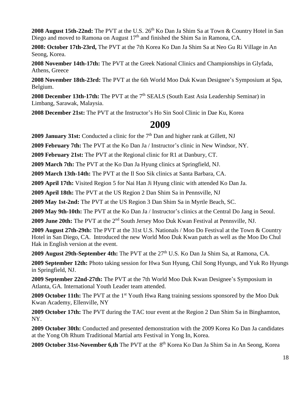2008 August 15th-22nd: The PVT at the U.S. 26<sup>th</sup> Ko Dan Ja Shim Sa at Town & Country Hotel in San Diego and moved to Ramona on August  $17<sup>th</sup>$  and finished the Shim Sa in Ramona, CA.

**2008: October 17th-23rd,** The PVT at the 7th Korea Ko Dan Ja Shim Sa at Neo Gu Ri Village in An Seong, Korea.

**2008 November 14th-17th:** The PVT at the Greek National Clinics and Championships in Glyfada, Athens, Greece

**2008 November 18th-23rd:** The PVT at the 6th World Moo Duk Kwan Designee's Symposium at Spa, Belgium.

**2008 December 13th-17th:** The PVT at the 7<sup>th</sup> SEALS (South East Asia Leadership Seminar) in Limbang, Sarawak, Malaysia.

**2008 December 21st:** The PVT at the Instructor's Ho Sin Sool Clinic in Dae Ku, Korea

### **2009**

**2009 January 31st:** Conducted a clinic for the 7<sup>th</sup> Dan and higher rank at Gillett, NJ

**2009 February 7th:** The PVT at the Ko Dan Ja / Instructor's clinic in New Windsor, NY.

**2009 February 21st:** The PVT at the Regional clinic for R1 at Danbury, CT.

**2009 March 7th:** The PVT at the Ko Dan Ja Hyung clinics at Springfield, NJ.

**2009 March 13th-14th:** The PVT at the Il Soo Sik clinics at Santa Barbara, CA.

**2009 April 17th:** Visited Region 5 for Nai Han Ji Hyung clinic with attended Ko Dan Ja.

**2009 April 18th:** The PVT at the US Region 2 Dan Shim Sa in Pennsville, NJ

**2009 May 1st-2nd:** The PVT at the US Region 3 Dan Shim Sa in Myrtle Beach, SC.

**2009 May 9th-10th:** The PVT at the Ko Dan Ja / Instructor's clinics at the Central Do Jang in Seoul.

**2009 June 20th:** The PVT at the 2nd South Jersey Moo Duk Kwan Festival at Pennsville, NJ.

**2009 August 27th-29th:** The PVT at the 31st U.S. Nationals / Moo Do Festival at the Town & Country Hotel in San Diego, CA. Introduced the new World Moo Duk Kwan patch as well as the Moo Do Chul Hak in English version at the event.

2009 **August 29th-September 4th:** The PVT at the 27<sup>th</sup> U.S. Ko Dan Ja Shim Sa, at Ramona, CA.

**2009 September 12th:** Photo taking session for Hwa Sun Hyung, Chil Song Hyungs, and Yuk Ro Hyungs in Springfield, NJ.

**2009 September 22nd-27th:** The PVT at the 7th World Moo Duk Kwan Designee's Symposium in Atlanta, GA. International Youth Leader team attended.

2009 October 11th: The PVT at the 1<sup>st</sup> Youth Hwa Rang training sessions sponsored by the Moo Duk Kwan Academy, Ellenville, NY

**2009 October 17th:** The PVT during the TAC tour event at the Region 2 Dan Shim Sa in Binghamton, NY.

**2009 October 30th:** Conducted and presented demonstration with the 2009 Korea Ko Dan Ja candidates at the Yong Oh Rhum Traditional Martial arts Festival in Yong In, Korea.

2009 October 31st-November 6,th The PVT at the 8<sup>th</sup> Korea Ko Dan Ja Shim Sa in An Seong, Korea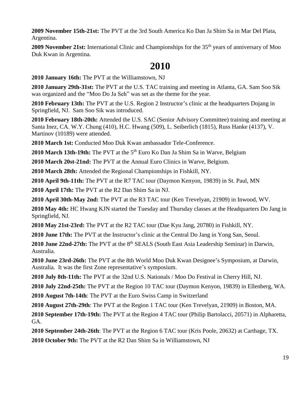**2009 November 15th-21st:** The PVT at the 3rd South America Ko Dan Ja Shim Sa in Mar Del Plata, Argentina.

**2009 November 21st:** International Clinic and Championships for the 35<sup>th</sup> years of anniversary of Moo Duk Kwan in Argentina.

### **2010**

**2010 January 16th:** The PVT at the Williamstown, NJ

**2010 January 29th-31st:** The PVT at the U.S. TAC training and meeting in Atlanta, GA. Sam Soo Sik was organized and the "Moo Do Ja Seh" was set as the theme for the year.

**2010 February 13th:** The PVT at the U.S. Region 2 Instructor's clinic at the headquarters Dojang in Springfield, NJ. Sam Soo Sik was introduced.

**2010 February 18th-20th:** Attended the U.S. SAC (Senior Advisory Committee) training and meeting at Santa Inez, CA. W.Y. Chung (410), H.C. Hwang (509), L. Seiberlich (1815), Russ Hanke (4137), V. Martinov (10189) were attended.

**2010 March 1st:** Conducted Moo Duk Kwan ambassador Tele-Conference.

**2010 March 13th-19th:** The PVT at the 5<sup>th</sup> Euro Ko Dan Ja Shim Sa in Warve, Belgium

**2010 March 20st-21nd:** The PVT at the Annual Euro Clinics in Warve, Belgium.

**2010 March 28th:** Attended the Regional Championships in Fishkill, NY.

**2010 April 9th-11th:** The PVT at the R7 TAC tour (Daymon Kenyon, 19839) in St. Paul, MN

**2010 April 17th:** The PVT at the R2 Dan Shim Sa in NJ.

**2010 April 30th-May 2nd:** The PVT at the R3 TAC tour (Ken Trevelyan, 21909) in Inwood, WV.

**2010 May 4th:** HC Hwang KJN started the Tuesday and Thursday classes at the Headquarters Do Jang in Springfield, NJ.

**2010 May 21st-23rd:** The PVT at the R2 TAC tour (Dae Kyu Jang, 20780) in Fishkill, NY.

**2010 June 17th:** The PVT at the Instructor's clinic at the Central Do Jang in Yong San, Seoul.

**2010 June 22nd-27th:** The PVT at the 8<sup>th</sup> SEALS (South East Asia Leadership Seminar) in Darwin, Australia.

**2010 June 23rd-26th:** The PVT at the 8th World Moo Duk Kwan Designee's Symposium, at Darwin, Australia. It was the first Zone representative's symposium.

**2010 July 8th-11th:** The PVT at the 32nd U.S. Nationals / Moo Do Festival in Cherry Hill, NJ.

**2010 July 22nd-25th:** The PVT at the Region 10 TAC tour (Daymon Kenyon, 19839) in Ellenberg, WA.

**2010 August 7th-14th**: The PVT at the Euro Swiss Camp in Switzerland

**2010 August 27th-29th**: The PVT at the Region 1 TAC tour (Ken Trevelyan, 21909) in Boston, MA.

**2010 September 17th-19th:** The PVT at the Region 4 TAC tour (Philip Bartolacci, 20571) in Alpharetta, GA.

**2010 September 24th-26th**: The PVT at the Region 6 TAC tour (Kris Poole, 20632) at Carthage, TX.

**2010 October 9th:** The PVT at the R2 Dan Shim Sa in Williamstown, NJ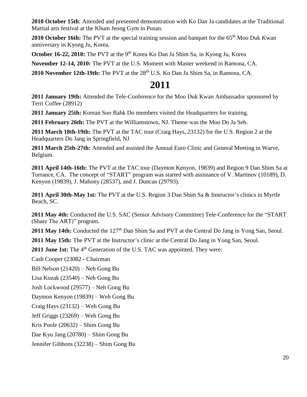**2010 October 15th**: Attended and presented demonstration with Ko Dan Ja candidates at the Traditional Martial arts festival at the Khum Jeong Gym in Pusan.

**2010 October 16th:** The PVT at the special training session and banquet for the 65<sup>th</sup> Moo Duk Kwan anniversary in Kyong Ju, Korea.

October 16-22, 2010: The PVT at the 9<sup>th</sup> Korea Ko Dan Ja Shim Sa, in Kyong Ju, Korea

**November 12-14, 2010:** The PVT at the U.S. Moment with Master weekend in Ramona, CA.

2010 **November 12th-19th:** The PVT at the 28<sup>th</sup> U.S. Ko Dan Ja Shim Sa, in Ramona, CA.

#### **2011**

**2011 January 19th:** Attended the Tele-Conference for the Moo Duk Kwan Ambassador sponsored by Terri Coffee (28912)

**2011 January 25th:** Korean Soo Bahk Do members visited the Headquarters for training.

**2011 February 26th:** The PVT at the Williamstown, NJ. Theme was the Moo Do Ja Seh.

**2011 March 18th-19th:** The PVT at the TAC tour (Craig Hays, 23132) for the U.S. Region 2 at the Headquarters Do Jang in Springfield, NJ

**2011 March 25th-27th:** Attended and assisted the Annual Euro Clinic and General Meeting in Warve, Belgium.

**2011 April 14th-16th:** The PVT at the TAC tour (Daymon Kenyon, 19839) and Region 9 Dan Shim Sa at Torrance, CA. The concept of "START" program was started with assistance of V. Martinov (10189), D. Kenyon (19839), J. Mahony (28537), and J. Duncan (29793).

**2011 April 30th-May 1st:** The PVT at the U.S. Region 3 Dan Shim Sa & Instructor's clinics in Myrtle Beach, SC.

**2011 May 4th:** Conducted the U.S. SAC (Senior Advisory Committee) Tele-Conference for the "START (Share The ART)" program.

2011 May 14th: Conducted the 127<sup>th</sup> Dan Shim Sa and PVT at the Central Do Jang in Yong San, Seoul.

**2011 May 15th:** The PVT at the Instructor's clinic at the Central Do Jang in Yong San, Seoul.

**2011 June 1st:** The 4<sup>th</sup> Generation of the U.S. TAC was appointed. They were:

Cash Cooper (23082 - Chairman

Bill Nelson (21420) – Neh Gong Bu

Lisa Kozak (23540) – Neh Gong Bu

Josh Lockwood (29577) – Neh Gong Bu

Daymon Kenyon (19839) – Weh Gong Bu

Craig Hays (23132) – Weh Gong Bu

Jeff Griggs (23269) – Weh Gong Bu

Kris Poole (20632) – Shim Gong Bu

Dae Kyu Jang (20780) – Shim Gong Bu

Jennifer Gibbons (32238) – Shim Gong Bu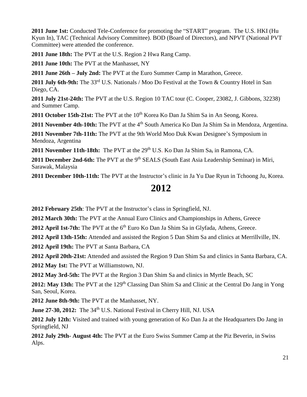**2011 June 1st:** Conducted Tele-Conference for promoting the "START" program. The U.S. HKI (Hu Kyun In), TAC (Technical Advisory Committee). BOD (Board of Directors), and NPVT (National PVT Committee) were attended the conference.

**2011 June 18th:** The PVT at the U.S. Region 2 Hwa Rang Camp.

**2011 June 10th:** The PVT at the Manhasset, NY

**2011 June 26th – July 2nd:** The PVT at the Euro Summer Camp in Marathon, Greece.

2011 July 6th-9th: The 33<sup>rd</sup> U.S. Nationals / Moo Do Festival at the Town & Country Hotel in San Diego, CA.

**2011 July 21st-24th:** The PVT at the U.S. Region 10 TAC tour (C. Cooper, 23082, J. Gibbons, 32238) and Summer Camp.

2011 October 15th-21st: The PVT at the 10<sup>th</sup> Korea Ko Dan Ja Shim Sa in An Seong, Korea.

**2011 November 4th-10th:** The PVT at the 4<sup>th</sup> South America Ko Dan Ja Shim Sa in Mendoza, Argentina.

**2011 November 7th-11th:** The PVT at the 9th World Moo Duk Kwan Designee's Symposium in Mendoza, Argentina

**2011 November 11th-18th:** The PVT at the 29<sup>th</sup> U.S. Ko Dan Ja Shim Sa, in Ramona, CA.

2011 **December 2nd-6th:** The PVT at the 9<sup>th</sup> SEALS (South East Asia Leadership Seminar) in Miri, Sarawak, Malaysia

**2011 December 10th-11th:** The PVT at the Instructor's clinic in Ja Yu Dae Ryun in Tchoong Ju, Korea.

#### **2012**

**2012 February 25th**: The PVT at the Instructor's class in Springfield, NJ.

**2012 March 30th:** The PVT at the Annual Euro Clinics and Championships in Athens, Greece

**2012 April 1st-7th:** The PVT at the 6<sup>th</sup> Euro Ko Dan Ja Shim Sa in Glyfada, Athens, Greece.

**2012 April 13th-15th:** Attended and assisted the Region 5 Dan Shim Sa and clinics at Merrillville, IN.

**2012 April 19th:** The PVT at Santa Barbara, CA

**2012 April 20th-21st:** Attended and assisted the Region 9 Dan Shim Sa and clinics in Santa Barbara, CA. **2012 May 1st:** The PVT at Williamstown, NJ.

**2012 May 3rd-5th:** The PVT at the Region 3 Dan Shim Sa and clinics in Myrtle Beach, SC

2012: May 13th: The PVT at the 129<sup>th</sup> Classing Dan Shim Sa and Clinic at the Central Do Jang in Yong San, Seoul, Korea.

**2012 June 8th-9th:** The PVT at the Manhasset, NY.

**June 27-30, 2012:** The 34<sup>th</sup> U.S. National Festival in Cherry Hill, NJ. USA

**2012 July 12th:** Visited and trained with young generation of Ko Dan Ja at the Headquarters Do Jang in Springfield, NJ

**2012 July 29th- August 4th:** The PVT at the Euro Swiss Summer Camp at the Piz Beverin, in Swiss Alps.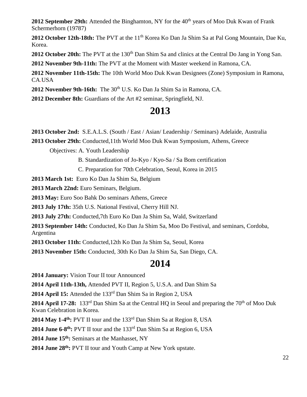**2012 September 29th:** Attended the Binghamton, NY for the 40<sup>th</sup> years of Moo Duk Kwan of Frank Schermerhorn (19787)

2012 October 12th-18th: The PVT at the 11<sup>th</sup> Korea Ko Dan Ja Shim Sa at Pal Gong Mountain, Dae Ku, Korea.

**2012 October 20th:** The PVT at the 130<sup>th</sup> Dan Shim Sa and clinics at the Central Do Jang in Yong San.

**2012 November 9th-11th:** The PVT at the Moment with Master weekend in Ramona, CA.

**2012 November 11th-15th:** The 10th World Moo Duk Kwan Designees (Zone) Symposium in Ramona, CA.USA

2012 November 9th-16th: The 30<sup>th</sup> U.S. Ko Dan Ja Shim Sa in Ramona, CA.

**2012 December 8th:** Guardians of the Art #2 seminar, Springfield, NJ.

#### **2013**

**2013 October 2nd:** S.E.A.L.S. (South / East / Asian/ Leadership / Seminars) Adelaide, Australia

**2013 October 29th:** Conducted,11th World Moo Duk Kwan Symposium, Athens, Greece

Objectives: A. Youth Leadership

B. Standardization of Jo-Kyo / Kyo-Sa / Sa Bom certification

C. Preparation for 70th Celebration, Seoul, Korea in 2015

**2013 March 1st:** Euro Ko Dan Ja Shim Sa, Belgium

**2013 March 22nd:** Euro Seminars, Belgium.

**2013 May:** Euro Soo Bahk Do seminars Athens, Greece

**2013 July 17th:** 35th U.S. National Festival, Cherry Hill NJ.

**2013 July 27th:** Conducted,7th Euro Ko Dan Ja Shim Sa, Wald, Switzerland

**2013 September 14th:** Conducted, Ko Dan Ja Shim Sa, Moo Do Festival, and seminars, Cordoba, Argentina

**2013 October 11th:** Conducted,12th Ko Dan Ja Shim Sa, Seoul, Korea

**2013 November 15th:** Conducted, 30th Ko Dan Ja Shim Sa, San Diego, CA.

#### **2014**

**2014 January:** Vision Tour II tour Announced

**2014 April 11th-13th,** Attended PVT II, Region 5, U.S.A. and Dan Shim Sa

**2014 April 15:** Attended the 133rd Dan Shim Sa in Region 2, USA

**2014 April 17-28:** 133<sup>rd</sup> Dan Shim Sa at the Central HQ in Seoul and preparing the 70<sup>th</sup> of Moo Duk Kwan Celebration in Korea.

**2014 May 1-4 th:** PVT II tour and the 133rd Dan Shim Sa at Region 8, USA

**2014 June 6-8 th:** PVT II tour and the 133rd Dan Shim Sa at Region 6, USA

**2014 June 15th:** Seminars at the Manhasset, NY

**2014 June 28th:** PVT II tour and Youth Camp at New York upstate.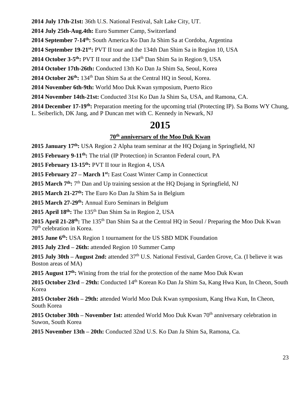**2014 July 17th-21st:** 36th U.S. National Festival, Salt Lake City, UT.

**2014 July 25th-Aug.4th:** Euro Summer Camp, Switzerland

**2014 September 7-14th:** South America Ko Dan Ja Shim Sa at Cordoba, Argentina

**2014 September 19-21st:** PVT II tour and the 134th Dan Shim Sa in Region 10, USA

**2014 October 3-5<sup>th</sup>:** PVT II tour and the 134<sup>th</sup> Dan Shim Sa in Region 9, USA

**2014 October 17th-26th:** Conducted 13th Ko Dan Ja Shim Sa, Seoul, Korea

**2014 October 26th:** 134th Dan Shim Sa at the Central HQ in Seoul, Korea.

**2014 November 6th-9th:** World Moo Duk Kwan symposium, Puerto Rico

**2014 November 14th-21st:** Conducted 31st Ko Dan Ja Shim Sa, USA, and Ramona, CA.

**2014 December 17-19th:** Preparation meeting for the upcoming trial (Protecting IP). Sa Boms WY Chung, L. Seiberlich, DK Jang, and P Duncan met with C. Kennedy in Newark, NJ

## **2015**

#### **70th anniversary of the Moo Duk Kwan**

**2015 January 17th:** USA Region 2 Alpha team seminar at the HQ Dojang in Springfield, NJ

**2015 February 9-11th:** The trial (IP Protection) in Scranton Federal court, PA

**2015 February 13-15th:** PVT II tour in Region 4, USA

**2015 February 27 – March 1st:** East Coast Winter Camp in Connecticut

2015 March 7<sup>th</sup>: 7<sup>th</sup> Dan and Up training session at the HQ Dojang in Springfield, NJ

**2015 March 21-27th:** The Euro Ko Dan Ja Shim Sa in Belgium

**2015 March 27-29th:** Annual Euro Seminars in Belgium

**2015 April 18th:** The 135th Dan Shim Sa in Region 2, USA

**2015 April 21-28th:** The 135th Dan Shim Sa at the Central HQ in Seoul / Preparing the Moo Duk Kwan 70th celebration in Korea.

**2015 June 6th:** USA Region 1 tournament for the US SBD MDK Foundation

**2015 July 23rd – 26th:** attended Region 10 Summer Camp

2015 July 30th – August 2nd: attended  $37<sup>th</sup>$  U.S. National Festival, Garden Grove, Ca. (I believe it was Boston areas of MA)

**2015 August 17th:** Wining from the trial for the protection of the name Moo Duk Kwan

**2015 October 23rd – 29th:** Conducted 14th Korean Ko Dan Ja Shim Sa, Kang Hwa Kun, In Cheon, South Korea

**2015 October 26th – 29th:** attended World Moo Duk Kwan symposium, Kang Hwa Kun, In Cheon, South Korea

**2015 October 30th – November 1st:** attended World Moo Duk Kwan 70<sup>th</sup> anniversary celebration in Suwon, South Korea

**2015 November 13th – 20th:** Conducted 32nd U.S. Ko Dan Ja Shim Sa, Ramona, Ca.